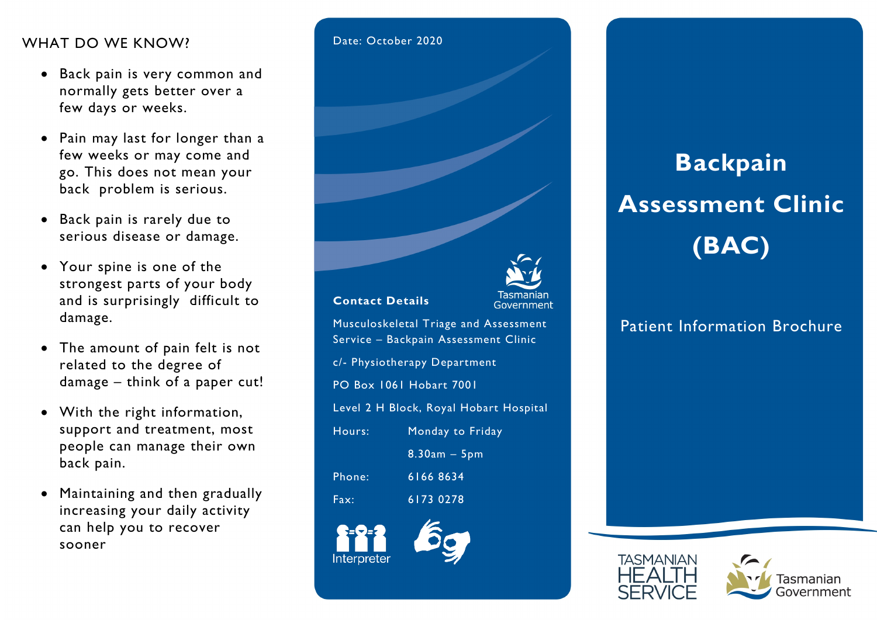#### WHAT DO WE KNOW?

- Back pain is very common and normally gets better over a few days or weeks.
- Pain may last for longer than a few weeks or may come and go. This does not mean your back problem is serious.
- Back pain is rarely due to serious disease or damage.
- Your spine is one of the strongest parts of your body and is surprisingly difficult to damage.
- The amount of pain felt is not related to the degree of damage – think of a paper cut!
- With the right information, support and treatment, most people can manage their own back pain.
- Maintaining and then gradually increasing your daily activity can help you to recover sooner



# Backpain Assessment Clinic (BAC)

# Patient Information Brochure